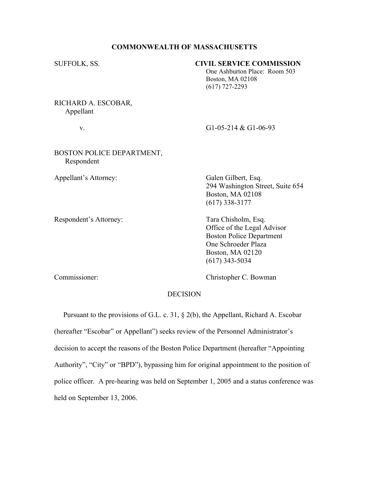#### **COMMONWEALTH OF MASSACHUSETTS**

# SUFFOLK, SS. **CIVIL SERVICE COMMISSION**

One Ashburton Place: Room 503 Boston, MA 02108 (617) 727-2293

RICHARD A. ESCOBAR, Appellant

v. G1-05-214 & G1-06-93

### BOSTON POLICE DEPARTMENT, Respondent

Appellant's Attorney: Galen Gilbert, Esq.

Respondent's Attorney: Tara Chisholm, Esq.

294 Washington Street, Suite 654 Boston, MA 02108 (617) 338-3177

Office of the Legal Advisor Boston Police Department One Schroeder Plaza Boston, MA 02120 (617) 343-5034

Commissioner: Christopher C. Bowman

#### DECISION

 Pursuant to the provisions of G.L. c. 31, § 2(b), the Appellant, Richard A. Escobar (hereafter "Escobar" or Appellant") seeks review of the Personnel Administrator's decision to accept the reasons of the Boston Police Department (hereafter "Appointing") Authority", "City" or "BPD"), bypassing him for original appointment to the position of police officer. A pre-hearing was held on September 1, 2005 and a status conference was held on September 13, 2006.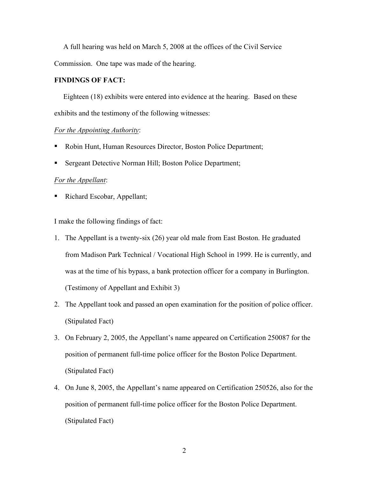A full hearing was held on March 5, 2008 at the offices of the Civil Service Commission. One tape was made of the hearing.

### **FINDINGS OF FACT:**

 Eighteen (18) exhibits were entered into evidence at the hearing. Based on these exhibits and the testimony of the following witnesses:

# *For the Appointing Authority*:

- Robin Hunt, Human Resources Director, Boston Police Department;
- Sergeant Detective Norman Hill; Boston Police Department;

# *For the Appellant*:

Richard Escobar, Appellant;

I make the following findings of fact:

- 1. The Appellant is a twenty-six (26) year old male from East Boston. He graduated from Madison Park Technical / Vocational High School in 1999. He is currently, and was at the time of his bypass, a bank protection officer for a company in Burlington. (Testimony of Appellant and Exhibit 3)
- 2. The Appellant took and passed an open examination for the position of police officer. (Stipulated Fact)
- 3. On February 2, 2005, the Appellant's name appeared on Certification 250087 for the position of permanent full-time police officer for the Boston Police Department. (Stipulated Fact)
- 4. On June 8, 2005, the Appellant's name appeared on Certification 250526, also for the position of permanent full-time police officer for the Boston Police Department. (Stipulated Fact)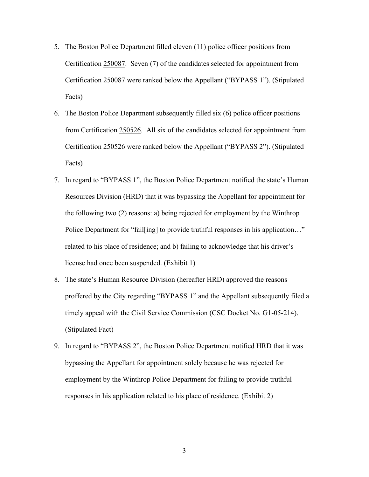- 5. The Boston Police Department filled eleven (11) police officer positions from Certification 250087. Seven (7) of the candidates selected for appointment from Certification 250087 were ranked below the Appellant ("BYPASS 1"). (Stipulated Facts)
- 6. The Boston Police Department subsequently filled six (6) police officer positions from Certification 250526. All six of the candidates selected for appointment from Certification 250526 were ranked below the Appellant ("BYPASS 2"). (Stipulated Facts)
- 7. In regard to "BYPASS 1", the Boston Police Department notified the state's Human Resources Division (HRD) that it was bypassing the Appellant for appointment for the following two (2) reasons: a) being rejected for employment by the Winthrop Police Department for "fail[ing] to provide truthful responses in his application..." related to his place of residence; and b) failing to acknowledge that his driver's license had once been suspended. (Exhibit 1)
- 8. The state's Human Resource Division (hereafter HRD) approved the reasons proffered by the City regarding "BYPASS 1" and the Appellant subsequently filed a timely appeal with the Civil Service Commission (CSC Docket No. G1-05-214). (Stipulated Fact)
- 9. In regard to "BYPASS 2", the Boston Police Department notified HRD that it was bypassing the Appellant for appointment solely because he was rejected for employment by the Winthrop Police Department for failing to provide truthful responses in his application related to his place of residence. (Exhibit 2)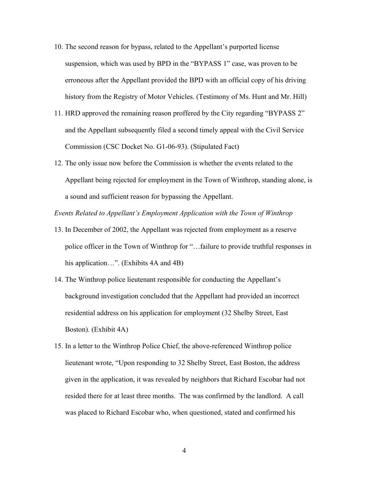- 10. The second reason for bypass, related to the Appellant's purported license suspension, which was used by BPD in the "BYPASS 1" case, was proven to be erroneous after the Appellant provided the BPD with an official copy of his driving history from the Registry of Motor Vehicles. (Testimony of Ms. Hunt and Mr. Hill)
- 11. HRD approved the remaining reason proffered by the City regarding "BYPASS 2" and the Appellant subsequently filed a second timely appeal with the Civil Service Commission (CSC Docket No. G1-06-93). (Stipulated Fact)
- 12. The only issue now before the Commission is whether the events related to the Appellant being rejected for employment in the Town of Winthrop, standing alone, is a sound and sufficient reason for bypassing the Appellant.

*Events Related to Appellant¶s Employment Application with the Town of Winthrop*

- 13. In December of 2002, the Appellant was rejected from employment as a reserve police officer in the Town of Winthrop for "...failure to provide truthful responses in his application...". (Exhibits  $4A$  and  $4B$ )
- 14. The Winthrop police lieutenant responsible for conducting the Appellant's background investigation concluded that the Appellant had provided an incorrect residential address on his application for employment (32 Shelby Street, East Boston). (Exhibit 4A)
- 15. In a letter to the Winthrop Police Chief, the above-referenced Winthrop police lieutenant wrote, "Upon responding to 32 Shelby Street, East Boston, the address given in the application, it was revealed by neighbors that Richard Escobar had not resided there for at least three months. The was confirmed by the landlord. A call was placed to Richard Escobar who, when questioned, stated and confirmed his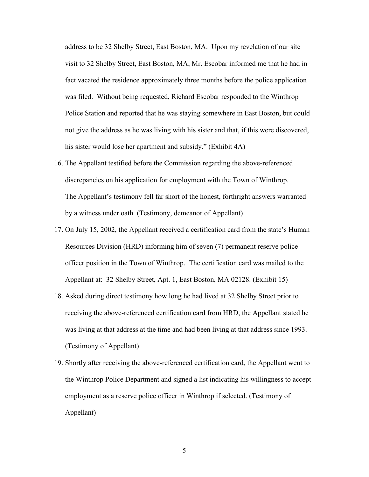address to be 32 Shelby Street, East Boston, MA. Upon my revelation of our site visit to 32 Shelby Street, East Boston, MA, Mr. Escobar informed me that he had in fact vacated the residence approximately three months before the police application was filed. Without being requested, Richard Escobar responded to the Winthrop Police Station and reported that he was staying somewhere in East Boston, but could not give the address as he was living with his sister and that, if this were discovered, his sister would lose her apartment and subsidy." (Exhibit 4A)

- 16. The Appellant testified before the Commission regarding the above-referenced discrepancies on his application for employment with the Town of Winthrop. The Appellant's testimony fell far short of the honest, forthright answers warranted by a witness under oath. (Testimony, demeanor of Appellant)
- 17. On July 15, 2002, the Appellant received a certification card from the state's Human Resources Division (HRD) informing him of seven (7) permanent reserve police officer position in the Town of Winthrop. The certification card was mailed to the Appellant at: 32 Shelby Street, Apt. 1, East Boston, MA 02128. (Exhibit 15)
- 18. Asked during direct testimony how long he had lived at 32 Shelby Street prior to receiving the above-referenced certification card from HRD, the Appellant stated he was living at that address at the time and had been living at that address since 1993. (Testimony of Appellant)
- 19. Shortly after receiving the above-referenced certification card, the Appellant went to the Winthrop Police Department and signed a list indicating his willingness to accept employment as a reserve police officer in Winthrop if selected. (Testimony of Appellant)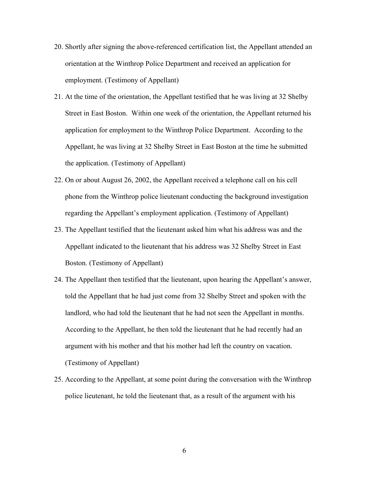- 20. Shortly after signing the above-referenced certification list, the Appellant attended an orientation at the Winthrop Police Department and received an application for employment. (Testimony of Appellant)
- 21. At the time of the orientation, the Appellant testified that he was living at 32 Shelby Street in East Boston. Within one week of the orientation, the Appellant returned his application for employment to the Winthrop Police Department. According to the Appellant, he was living at 32 Shelby Street in East Boston at the time he submitted the application. (Testimony of Appellant)
- 22. On or about August 26, 2002, the Appellant received a telephone call on his cell phone from the Winthrop police lieutenant conducting the background investigation regarding the Appellant's employment application. (Testimony of Appellant)
- 23. The Appellant testified that the lieutenant asked him what his address was and the Appellant indicated to the lieutenant that his address was 32 Shelby Street in East Boston. (Testimony of Appellant)
- 24. The Appellant then testified that the lieutenant, upon hearing the Appellant's answer, told the Appellant that he had just come from 32 Shelby Street and spoken with the landlord, who had told the lieutenant that he had not seen the Appellant in months. According to the Appellant, he then told the lieutenant that he had recently had an argument with his mother and that his mother had left the country on vacation. (Testimony of Appellant)
- 25. According to the Appellant, at some point during the conversation with the Winthrop police lieutenant, he told the lieutenant that, as a result of the argument with his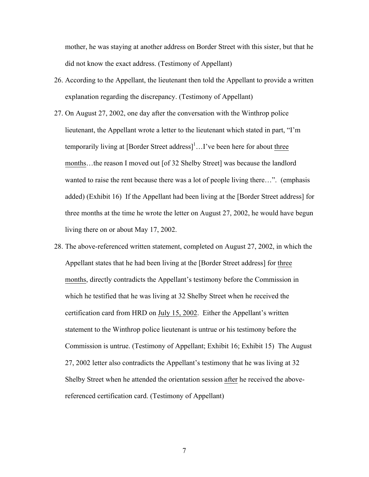mother, he was staying at another address on Border Street with this sister, but that he did not know the exact address. (Testimony of Appellant)

- 26. According to the Appellant, the lieutenant then told the Appellant to provide a written explanation regarding the discrepancy. (Testimony of Appellant)
- 27. On August 27, 2002, one day after the conversation with the Winthrop police lieutenant, the Appellant wrote a letter to the lieutenant which stated in part, "I'm temporarily living at  $[Border Street address]$ <sup>1</sup>...I've been here for about three months...the reason I moved out [of 32 Shelby Street] was because the landlord wanted to raise the rent because there was a lot of people living there...". (emphasis added) (Exhibit 16) If the Appellant had been living at the [Border Street address] for three months at the time he wrote the letter on August 27, 2002, he would have begun living there on or about May 17, 2002.
- 28. The above-referenced written statement, completed on August 27, 2002, in which the Appellant states that he had been living at the [Border Street address] for three months, directly contradicts the Appellant's testimony before the Commission in which he testified that he was living at 32 Shelby Street when he received the certification card from HRD on July 15, 2002. Either the Appellant's written statement to the Winthrop police lieutenant is untrue or his testimony before the Commission is untrue. (Testimony of Appellant; Exhibit 16; Exhibit 15) The August 27, 2002 letter also contradicts the Appellant's testimony that he was living at 32 Shelby Street when he attended the orientation session after he received the abovereferenced certification card. (Testimony of Appellant)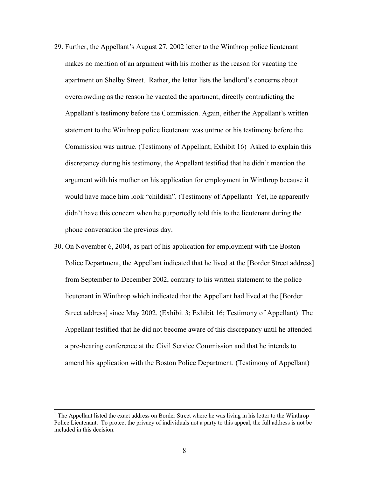- 29. Further, the Appellant's August 27, 2002 letter to the Winthrop police lieutenant makes no mention of an argument with his mother as the reason for vacating the apartment on Shelby Street. Rather, the letter lists the landlord's concerns about overcrowding as the reason he vacated the apartment, directly contradicting the Appellant's testimony before the Commission. Again, either the Appellant's written statement to the Winthrop police lieutenant was untrue or his testimony before the Commission was untrue. (Testimony of Appellant; Exhibit 16) Asked to explain this discrepancy during his testimony, the Appellant testified that he didn't mention the argument with his mother on his application for employment in Winthrop because it would have made him look "childish". (Testimony of Appellant) Yet, he apparently didn't have this concern when he purportedly told this to the lieutenant during the phone conversation the previous day.
- 30. On November 6, 2004, as part of his application for employment with the Boston Police Department, the Appellant indicated that he lived at the [Border Street address] from September to December 2002, contrary to his written statement to the police lieutenant in Winthrop which indicated that the Appellant had lived at the [Border Street address] since May 2002. (Exhibit 3; Exhibit 16; Testimony of Appellant) The Appellant testified that he did not become aware of this discrepancy until he attended a pre-hearing conference at the Civil Service Commission and that he intends to amend his application with the Boston Police Department. (Testimony of Appellant)

l

<sup>&</sup>lt;sup>1</sup> The Appellant listed the exact address on Border Street where he was living in his letter to the Winthrop Police Lieutenant. To protect the privacy of individuals not a party to this appeal, the full address is not be included in this decision.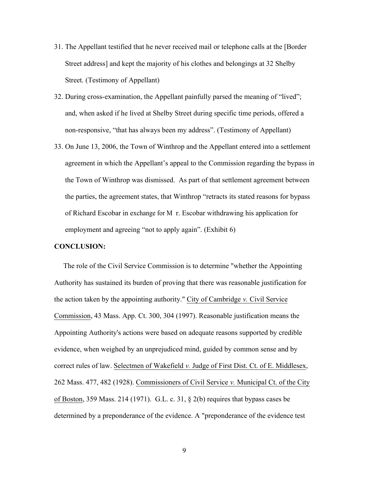- 31. The Appellant testified that he never received mail or telephone calls at the [Border Street address] and kept the majority of his clothes and belongings at 32 Shelby Street. (Testimony of Appellant)
- 32. During cross-examination, the Appellant painfully parsed the meaning of "lived"; and, when asked if he lived at Shelby Street during specific time periods, offered a non-responsive, "that has always been my address". (Testimony of Appellant)
- 33. On June 13, 2006, the Town of Winthrop and the Appellant entered into a settlement agreement in which the Appellant's appeal to the Commission regarding the bypass in the Town of Winthrop was dismissed. As part of that settlement agreement between the parties, the agreement states, that Winthrop "retracts its stated reasons for bypass of Richard Escobar in exchange for M r. Escobar withdrawing his application for employment and agreeing "not to apply again". (Exhibit  $6$ )

#### **CONCLUSION:**

 The role of the Civil Service Commission is to determine "whether the Appointing Authority has sustained its burden of proving that there was reasonable justification for the action taken by the appointing authority." City of Cambridge *v.* Civil Service Commission, 43 Mass. App. Ct. 300, 304 (1997). Reasonable justification means the Appointing Authority's actions were based on adequate reasons supported by credible evidence, when weighed by an unprejudiced mind, guided by common sense and by correct rules of law. Selectmen of Wakefield *v.* Judge of First Dist. Ct. of E. Middlesex, 262 Mass. 477, 482 (1928). Commissioners of Civil Service *v.* Municipal Ct. of the City of Boston, 359 Mass. 214 (1971). G.L. c. 31, § 2(b) requires that bypass cases be determined by a preponderance of the evidence. A "preponderance of the evidence test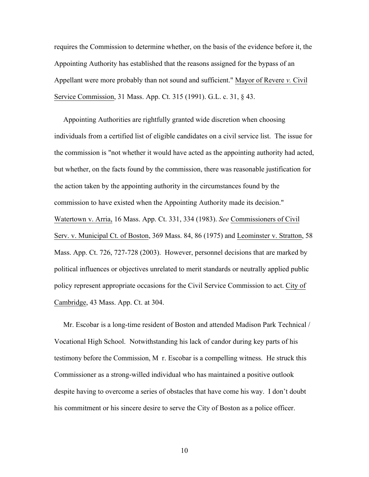requires the Commission to determine whether, on the basis of the evidence before it, the Appointing Authority has established that the reasons assigned for the bypass of an Appellant were more probably than not sound and sufficient." Mayor of Revere *v.* Civil Service Commission, 31 Mass. App. Ct. 315 (1991). G.L. c. 31, § 43.

 Appointing Authorities are rightfully granted wide discretion when choosing individuals from a certified list of eligible candidates on a civil service list. The issue for the commission is "not whether it would have acted as the appointing authority had acted, but whether, on the facts found by the commission, there was reasonable justification for the action taken by the appointing authority in the circumstances found by the commission to have existed when the Appointing Authority made its decision." Watertown v. Arria, 16 Mass. App. Ct. 331, 334 (1983). *See* Commissioners of Civil Serv. v. Municipal Ct. of Boston, 369 Mass. 84, 86 (1975) and Leominster v. Stratton, 58 Mass. App. Ct. 726, 727-728 (2003). However, personnel decisions that are marked by political influences or objectives unrelated to merit standards or neutrally applied public policy represent appropriate occasions for the Civil Service Commission to act. City of Cambridge, 43 Mass. App. Ct. at 304.

 Mr. Escobar is a long-time resident of Boston and attended Madison Park Technical / Vocational High School. Notwithstanding his lack of candor during key parts of his testimony before the Commission, M r. Escobar is a compelling witness. He struck this Commissioner as a strong-willed individual who has maintained a positive outlook despite having to overcome a series of obstacles that have come his way. I don't doubt his commitment or his sincere desire to serve the City of Boston as a police officer.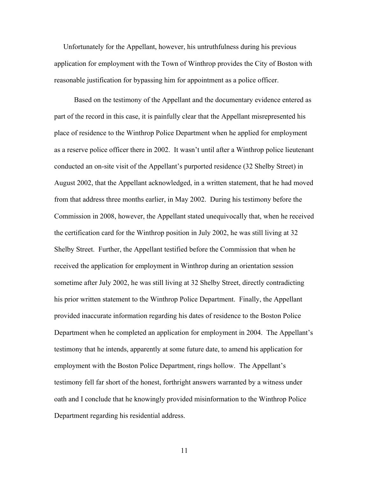Unfortunately for the Appellant, however, his untruthfulness during his previous application for employment with the Town of Winthrop provides the City of Boston with reasonable justification for bypassing him for appointment as a police officer.

 Based on the testimony of the Appellant and the documentary evidence entered as part of the record in this case, it is painfully clear that the Appellant misrepresented his place of residence to the Winthrop Police Department when he applied for employment as a reserve police officer there in 2002. It wasn't until after a Winthrop police lieutenant conducted an on-site visit of the Appellant's purported residence (32 Shelby Street) in August 2002, that the Appellant acknowledged, in a written statement, that he had moved from that address three months earlier, in May 2002. During his testimony before the Commission in 2008, however, the Appellant stated unequivocally that, when he received the certification card for the Winthrop position in July 2002, he was still living at 32 Shelby Street. Further, the Appellant testified before the Commission that when he received the application for employment in Winthrop during an orientation session sometime after July 2002, he was still living at 32 Shelby Street, directly contradicting his prior written statement to the Winthrop Police Department. Finally, the Appellant provided inaccurate information regarding his dates of residence to the Boston Police Department when he completed an application for employment in 2004. The Appellant's testimony that he intends, apparently at some future date, to amend his application for employment with the Boston Police Department, rings hollow. The Appellant's testimony fell far short of the honest, forthright answers warranted by a witness under oath and I conclude that he knowingly provided misinformation to the Winthrop Police Department regarding his residential address.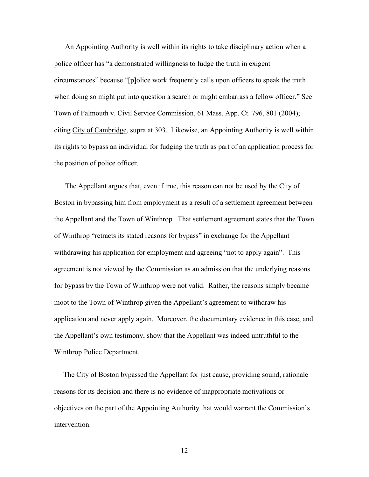An Appointing Authority is well within its rights to take disciplinary action when a police officer has "a demonstrated willingness to fudge the truth in exigent circumstances" because "[p]olice work frequently calls upon officers to speak the truth when doing so might put into question a search or might embarrass a fellow officer." See Town of Falmouth v. Civil Service Commission, 61 Mass. App. Ct. 796, 801 (2004); citing City of Cambridge, supra at 303. Likewise, an Appointing Authority is well within its rights to bypass an individual for fudging the truth as part of an application process for the position of police officer.

The Appellant argues that, even if true, this reason can not be used by the City of Boston in bypassing him from employment as a result of a settlement agreement between the Appellant and the Town of Winthrop. That settlement agreement states that the Town of Winthrop "retracts its stated reasons for bypass" in exchange for the Appellant withdrawing his application for employment and agreeing "not to apply again". This agreement is not viewed by the Commission as an admission that the underlying reasons for bypass by the Town of Winthrop were not valid. Rather, the reasons simply became moot to the Town of Winthrop given the Appellant's agreement to withdraw his application and never apply again. Moreover, the documentary evidence in this case, and the Appellant's own testimony, show that the Appellant was indeed untruthful to the Winthrop Police Department.

 The City of Boston bypassed the Appellant for just cause, providing sound, rationale reasons for its decision and there is no evidence of inappropriate motivations or objectives on the part of the Appointing Authority that would warrant the Commission's intervention.